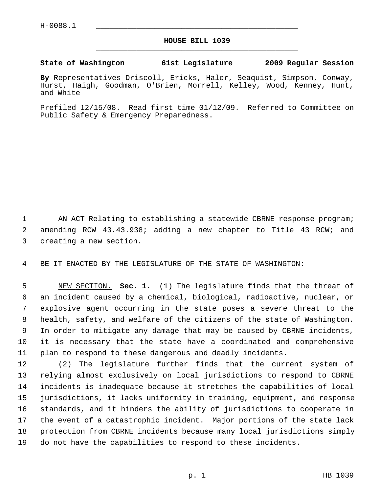## **HOUSE BILL 1039** \_\_\_\_\_\_\_\_\_\_\_\_\_\_\_\_\_\_\_\_\_\_\_\_\_\_\_\_\_\_\_\_\_\_\_\_\_\_\_\_\_\_\_\_\_

## **State of Washington 61st Legislature 2009 Regular Session**

**By** Representatives Driscoll, Ericks, Haler, Seaquist, Simpson, Conway, Hurst, Haigh, Goodman, O'Brien, Morrell, Kelley, Wood, Kenney, Hunt, and White

Prefiled 12/15/08. Read first time 01/12/09. Referred to Committee on Public Safety & Emergency Preparedness.

1 AN ACT Relating to establishing a statewide CBRNE response program; 2 amending RCW 43.43.938; adding a new chapter to Title 43 RCW; and 3 creating a new section.

4 BE IT ENACTED BY THE LEGISLATURE OF THE STATE OF WASHINGTON:

 5 NEW SECTION. **Sec. 1.** (1) The legislature finds that the threat of 6 an incident caused by a chemical, biological, radioactive, nuclear, or 7 explosive agent occurring in the state poses a severe threat to the 8 health, safety, and welfare of the citizens of the state of Washington. 9 In order to mitigate any damage that may be caused by CBRNE incidents, 10 it is necessary that the state have a coordinated and comprehensive 11 plan to respond to these dangerous and deadly incidents.

12 (2) The legislature further finds that the current system of 13 relying almost exclusively on local jurisdictions to respond to CBRNE 14 incidents is inadequate because it stretches the capabilities of local 15 jurisdictions, it lacks uniformity in training, equipment, and response 16 standards, and it hinders the ability of jurisdictions to cooperate in 17 the event of a catastrophic incident. Major portions of the state lack 18 protection from CBRNE incidents because many local jurisdictions simply 19 do not have the capabilities to respond to these incidents.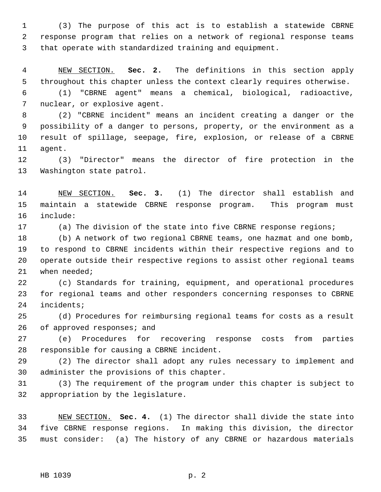1 (3) The purpose of this act is to establish a statewide CBRNE 2 response program that relies on a network of regional response teams 3 that operate with standardized training and equipment.

 4 NEW SECTION. **Sec. 2.** The definitions in this section apply 5 throughout this chapter unless the context clearly requires otherwise.

 6 (1) "CBRNE agent" means a chemical, biological, radioactive, 7 nuclear, or explosive agent.

 8 (2) "CBRNE incident" means an incident creating a danger or the 9 possibility of a danger to persons, property, or the environment as a 10 result of spillage, seepage, fire, explosion, or release of a CBRNE 11 agent.

12 (3) "Director" means the director of fire protection in the 13 Washington state patrol.

14 NEW SECTION. **Sec. 3.** (1) The director shall establish and 15 maintain a statewide CBRNE response program. This program must 16 include:

17 (a) The division of the state into five CBRNE response regions;

18 (b) A network of two regional CBRNE teams, one hazmat and one bomb, 19 to respond to CBRNE incidents within their respective regions and to 20 operate outside their respective regions to assist other regional teams 21 when needed;

22 (c) Standards for training, equipment, and operational procedures 23 for regional teams and other responders concerning responses to CBRNE 24 incidents;

25 (d) Procedures for reimbursing regional teams for costs as a result 26 of approved responses; and

27 (e) Procedures for recovering response costs from parties 28 responsible for causing a CBRNE incident.

29 (2) The director shall adopt any rules necessary to implement and 30 administer the provisions of this chapter.

31 (3) The requirement of the program under this chapter is subject to 32 appropriation by the legislature.

33 NEW SECTION. **Sec. 4.** (1) The director shall divide the state into 34 five CBRNE response regions. In making this division, the director 35 must consider: (a) The history of any CBRNE or hazardous materials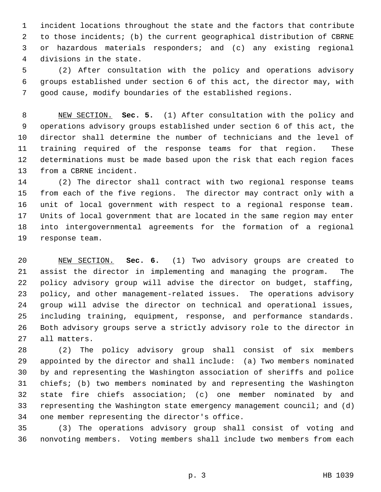1 incident locations throughout the state and the factors that contribute 2 to those incidents; (b) the current geographical distribution of CBRNE 3 or hazardous materials responders; and (c) any existing regional 4 divisions in the state.

 5 (2) After consultation with the policy and operations advisory 6 groups established under section 6 of this act, the director may, with 7 good cause, modify boundaries of the established regions.

 8 NEW SECTION. **Sec. 5.** (1) After consultation with the policy and 9 operations advisory groups established under section 6 of this act, the 10 director shall determine the number of technicians and the level of 11 training required of the response teams for that region. These 12 determinations must be made based upon the risk that each region faces 13 from a CBRNE incident.

14 (2) The director shall contract with two regional response teams 15 from each of the five regions. The director may contract only with a 16 unit of local government with respect to a regional response team. 17 Units of local government that are located in the same region may enter 18 into intergovernmental agreements for the formation of a regional 19 response team.

20 NEW SECTION. **Sec. 6.** (1) Two advisory groups are created to 21 assist the director in implementing and managing the program. The 22 policy advisory group will advise the director on budget, staffing, 23 policy, and other management-related issues. The operations advisory 24 group will advise the director on technical and operational issues, 25 including training, equipment, response, and performance standards. 26 Both advisory groups serve a strictly advisory role to the director in 27 all matters.

28 (2) The policy advisory group shall consist of six members 29 appointed by the director and shall include: (a) Two members nominated 30 by and representing the Washington association of sheriffs and police 31 chiefs; (b) two members nominated by and representing the Washington 32 state fire chiefs association; (c) one member nominated by and 33 representing the Washington state emergency management council; and (d) 34 one member representing the director's office.

35 (3) The operations advisory group shall consist of voting and 36 nonvoting members. Voting members shall include two members from each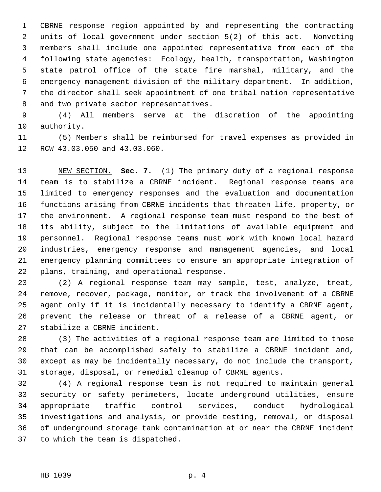1 CBRNE response region appointed by and representing the contracting 2 units of local government under section 5(2) of this act. Nonvoting 3 members shall include one appointed representative from each of the 4 following state agencies: Ecology, health, transportation, Washington 5 state patrol office of the state fire marshal, military, and the 6 emergency management division of the military department. In addition, 7 the director shall seek appointment of one tribal nation representative 8 and two private sector representatives.

 9 (4) All members serve at the discretion of the appointing 10 authority.

11 (5) Members shall be reimbursed for travel expenses as provided in 12 RCW 43.03.050 and 43.03.060.

13 NEW SECTION. **Sec. 7.** (1) The primary duty of a regional response 14 team is to stabilize a CBRNE incident. Regional response teams are 15 limited to emergency responses and the evaluation and documentation 16 functions arising from CBRNE incidents that threaten life, property, or 17 the environment. A regional response team must respond to the best of 18 its ability, subject to the limitations of available equipment and 19 personnel. Regional response teams must work with known local hazard 20 industries, emergency response and management agencies, and local 21 emergency planning committees to ensure an appropriate integration of 22 plans, training, and operational response.

23 (2) A regional response team may sample, test, analyze, treat, 24 remove, recover, package, monitor, or track the involvement of a CBRNE 25 agent only if it is incidentally necessary to identify a CBRNE agent, 26 prevent the release or threat of a release of a CBRNE agent, or 27 stabilize a CBRNE incident.

28 (3) The activities of a regional response team are limited to those 29 that can be accomplished safely to stabilize a CBRNE incident and, 30 except as may be incidentally necessary, do not include the transport, 31 storage, disposal, or remedial cleanup of CBRNE agents.

32 (4) A regional response team is not required to maintain general 33 security or safety perimeters, locate underground utilities, ensure 34 appropriate traffic control services, conduct hydrological 35 investigations and analysis, or provide testing, removal, or disposal 36 of underground storage tank contamination at or near the CBRNE incident 37 to which the team is dispatched.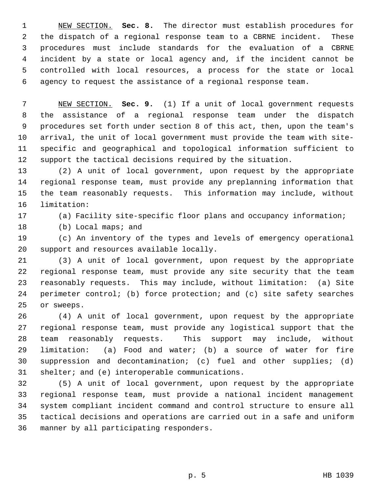1 NEW SECTION. **Sec. 8.** The director must establish procedures for 2 the dispatch of a regional response team to a CBRNE incident. These 3 procedures must include standards for the evaluation of a CBRNE 4 incident by a state or local agency and, if the incident cannot be 5 controlled with local resources, a process for the state or local 6 agency to request the assistance of a regional response team.

 7 NEW SECTION. **Sec. 9.** (1) If a unit of local government requests 8 the assistance of a regional response team under the dispatch 9 procedures set forth under section 8 of this act, then, upon the team's 10 arrival, the unit of local government must provide the team with site-11 specific and geographical and topological information sufficient to 12 support the tactical decisions required by the situation.

13 (2) A unit of local government, upon request by the appropriate 14 regional response team, must provide any preplanning information that 15 the team reasonably requests. This information may include, without 16 limitation:

17 (a) Facility site-specific floor plans and occupancy information;

18 (b) Local maps; and

19 (c) An inventory of the types and levels of emergency operational 20 support and resources available locally.

21 (3) A unit of local government, upon request by the appropriate 22 regional response team, must provide any site security that the team 23 reasonably requests. This may include, without limitation: (a) Site 24 perimeter control; (b) force protection; and (c) site safety searches 25 or sweeps.

26 (4) A unit of local government, upon request by the appropriate 27 regional response team, must provide any logistical support that the 28 team reasonably requests. This support may include, without 29 limitation: (a) Food and water; (b) a source of water for fire 30 suppression and decontamination; (c) fuel and other supplies; (d) 31 shelter; and (e) interoperable communications.

32 (5) A unit of local government, upon request by the appropriate 33 regional response team, must provide a national incident management 34 system compliant incident command and control structure to ensure all 35 tactical decisions and operations are carried out in a safe and uniform 36 manner by all participating responders.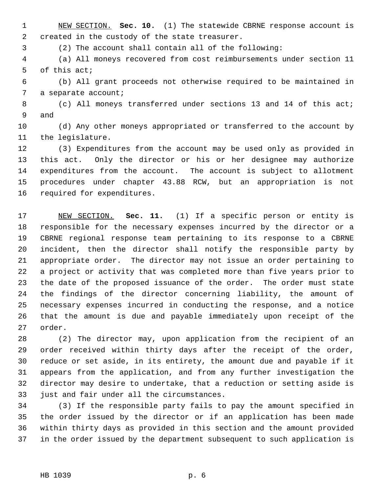1 NEW SECTION. **Sec. 10.** (1) The statewide CBRNE response account is 2 created in the custody of the state treasurer.

3 (2) The account shall contain all of the following:

 4 (a) All moneys recovered from cost reimbursements under section 11 5 of this act;

 6 (b) All grant proceeds not otherwise required to be maintained in 7 a separate account;

 8 (c) All moneys transferred under sections 13 and 14 of this act; 9 and

10 (d) Any other moneys appropriated or transferred to the account by 11 the legislature.

12 (3) Expenditures from the account may be used only as provided in 13 this act. Only the director or his or her designee may authorize 14 expenditures from the account. The account is subject to allotment 15 procedures under chapter 43.88 RCW, but an appropriation is not 16 required for expenditures.

17 NEW SECTION. **Sec. 11.** (1) If a specific person or entity is 18 responsible for the necessary expenses incurred by the director or a 19 CBRNE regional response team pertaining to its response to a CBRNE 20 incident, then the director shall notify the responsible party by 21 appropriate order. The director may not issue an order pertaining to 22 a project or activity that was completed more than five years prior to 23 the date of the proposed issuance of the order. The order must state 24 the findings of the director concerning liability, the amount of 25 necessary expenses incurred in conducting the response, and a notice 26 that the amount is due and payable immediately upon receipt of the 27 order.

28 (2) The director may, upon application from the recipient of an 29 order received within thirty days after the receipt of the order, 30 reduce or set aside, in its entirety, the amount due and payable if it 31 appears from the application, and from any further investigation the 32 director may desire to undertake, that a reduction or setting aside is 33 just and fair under all the circumstances.

34 (3) If the responsible party fails to pay the amount specified in 35 the order issued by the director or if an application has been made 36 within thirty days as provided in this section and the amount provided 37 in the order issued by the department subsequent to such application is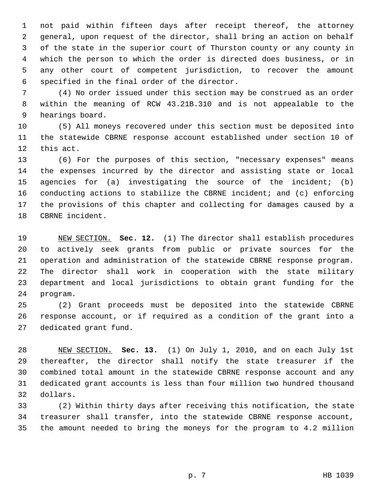1 not paid within fifteen days after receipt thereof, the attorney 2 general, upon request of the director, shall bring an action on behalf 3 of the state in the superior court of Thurston county or any county in 4 which the person to which the order is directed does business, or in 5 any other court of competent jurisdiction, to recover the amount 6 specified in the final order of the director.

 7 (4) No order issued under this section may be construed as an order 8 within the meaning of RCW 43.21B.310 and is not appealable to the 9 hearings board.

10 (5) All moneys recovered under this section must be deposited into 11 the statewide CBRNE response account established under section 10 of 12 this act.

13 (6) For the purposes of this section, "necessary expenses" means 14 the expenses incurred by the director and assisting state or local 15 agencies for (a) investigating the source of the incident; (b) 16 conducting actions to stabilize the CBRNE incident; and (c) enforcing 17 the provisions of this chapter and collecting for damages caused by a 18 CBRNE incident.

19 NEW SECTION. **Sec. 12.** (1) The director shall establish procedures 20 to actively seek grants from public or private sources for the 21 operation and administration of the statewide CBRNE response program. 22 The director shall work in cooperation with the state military 23 department and local jurisdictions to obtain grant funding for the 24 program.

25 (2) Grant proceeds must be deposited into the statewide CBRNE 26 response account, or if required as a condition of the grant into a 27 dedicated grant fund.

28 NEW SECTION. **Sec. 13.** (1) On July 1, 2010, and on each July 1st 29 thereafter, the director shall notify the state treasurer if the 30 combined total amount in the statewide CBRNE response account and any 31 dedicated grant accounts is less than four million two hundred thousand 32 dollars.

33 (2) Within thirty days after receiving this notification, the state 34 treasurer shall transfer, into the statewide CBRNE response account, 35 the amount needed to bring the moneys for the program to 4.2 million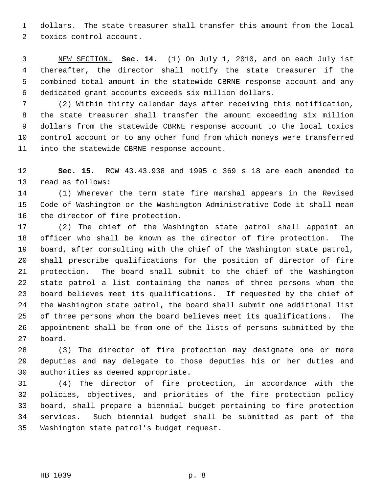1 dollars. The state treasurer shall transfer this amount from the local 2 toxics control account.

 3 NEW SECTION. **Sec. 14.** (1) On July 1, 2010, and on each July 1st 4 thereafter, the director shall notify the state treasurer if the 5 combined total amount in the statewide CBRNE response account and any 6 dedicated grant accounts exceeds six million dollars.

 7 (2) Within thirty calendar days after receiving this notification, 8 the state treasurer shall transfer the amount exceeding six million 9 dollars from the statewide CBRNE response account to the local toxics 10 control account or to any other fund from which moneys were transferred 11 into the statewide CBRNE response account.

12 **Sec. 15.** RCW 43.43.938 and 1995 c 369 s 18 are each amended to 13 read as follows:

14 (1) Wherever the term state fire marshal appears in the Revised 15 Code of Washington or the Washington Administrative Code it shall mean 16 the director of fire protection.

17 (2) The chief of the Washington state patrol shall appoint an 18 officer who shall be known as the director of fire protection. The 19 board, after consulting with the chief of the Washington state patrol, 20 shall prescribe qualifications for the position of director of fire 21 protection. The board shall submit to the chief of the Washington 22 state patrol a list containing the names of three persons whom the 23 board believes meet its qualifications. If requested by the chief of 24 the Washington state patrol, the board shall submit one additional list 25 of three persons whom the board believes meet its qualifications. The 26 appointment shall be from one of the lists of persons submitted by the 27 board.

28 (3) The director of fire protection may designate one or more 29 deputies and may delegate to those deputies his or her duties and 30 authorities as deemed appropriate.

31 (4) The director of fire protection, in accordance with the 32 policies, objectives, and priorities of the fire protection policy 33 board, shall prepare a biennial budget pertaining to fire protection 34 services. Such biennial budget shall be submitted as part of the 35 Washington state patrol's budget request.